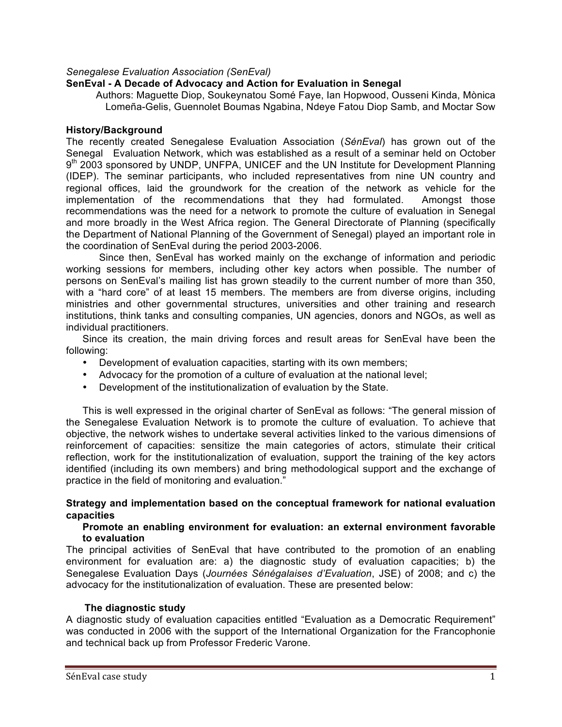### *Senegalese Evaluation Association (SenEval)*

### **SenEval - A Decade of Advocacy and Action for Evaluation in Senegal**

Authors: Maguette Diop, Soukeynatou Somé Faye, Ian Hopwood, Ousseni Kinda, Mònica Lomeña-Gelis, Guennolet Boumas Ngabina, Ndeye Fatou Diop Samb, and Moctar Sow

### **History/Background**

The recently created Senegalese Evaluation Association (*SénEval*) has grown out of the Senegal Evaluation Network, which was established as a result of a seminar held on October  $9<sup>th</sup>$  2003 sponsored by UNDP, UNFPA, UNICEF and the UN Institute for Development Planning (IDEP). The seminar participants, who included representatives from nine UN country and regional offices, laid the groundwork for the creation of the network as vehicle for the implementation of the recommendations that they had formulated. Amongst those recommendations was the need for a network to promote the culture of evaluation in Senegal and more broadly in the West Africa region. The General Directorate of Planning (specifically the Department of National Planning of the Government of Senegal) played an important role in the coordination of SenEval during the period 2003-2006.

Since then, SenEval has worked mainly on the exchange of information and periodic working sessions for members, including other key actors when possible. The number of persons on SenEval's mailing list has grown steadily to the current number of more than 350, with a "hard core" of at least 15 members. The members are from diverse origins, including ministries and other governmental structures, universities and other training and research institutions, think tanks and consulting companies, UN agencies, donors and NGOs, as well as individual practitioners.

Since its creation, the main driving forces and result areas for SenEval have been the following:

- Development of evaluation capacities, starting with its own members;
- Advocacy for the promotion of a culture of evaluation at the national level;
- Development of the institutionalization of evaluation by the State.

This is well expressed in the original charter of SenEval as follows: "The general mission of the Senegalese Evaluation Network is to promote the culture of evaluation. To achieve that objective, the network wishes to undertake several activities linked to the various dimensions of reinforcement of capacities: sensitize the main categories of actors, stimulate their critical reflection, work for the institutionalization of evaluation, support the training of the key actors identified (including its own members) and bring methodological support and the exchange of practice in the field of monitoring and evaluation."

### **Strategy and implementation based on the conceptual framework for national evaluation capacities**

### **Promote an enabling environment for evaluation: an external environment favorable to evaluation**

The principal activities of SenEval that have contributed to the promotion of an enabling environment for evaluation are: a) the diagnostic study of evaluation capacities; b) the Senegalese Evaluation Days (*Journées Sénégalaises d'Evaluation*, JSE) of 2008; and c) the advocacy for the institutionalization of evaluation. These are presented below:

### **The diagnostic study**

A diagnostic study of evaluation capacities entitled "Evaluation as a Democratic Requirement" was conducted in 2006 with the support of the International Organization for the Francophonie and technical back up from Professor Frederic Varone.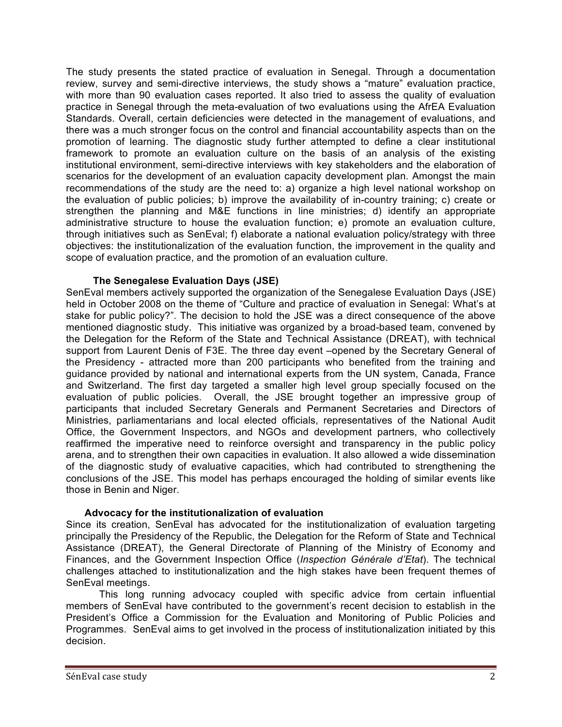The study presents the stated practice of evaluation in Senegal. Through a documentation review, survey and semi-directive interviews, the study shows a "mature" evaluation practice, with more than 90 evaluation cases reported. It also tried to assess the quality of evaluation practice in Senegal through the meta-evaluation of two evaluations using the AfrEA Evaluation Standards. Overall, certain deficiencies were detected in the management of evaluations, and there was a much stronger focus on the control and financial accountability aspects than on the promotion of learning. The diagnostic study further attempted to define a clear institutional framework to promote an evaluation culture on the basis of an analysis of the existing institutional environment, semi-directive interviews with key stakeholders and the elaboration of scenarios for the development of an evaluation capacity development plan. Amongst the main recommendations of the study are the need to: a) organize a high level national workshop on the evaluation of public policies; b) improve the availability of in-country training; c) create or strengthen the planning and M&E functions in line ministries; d) identify an appropriate administrative structure to house the evaluation function; e) promote an evaluation culture, through initiatives such as SenEval; f) elaborate a national evaluation policy/strategy with three objectives: the institutionalization of the evaluation function, the improvement in the quality and scope of evaluation practice, and the promotion of an evaluation culture.

# **The Senegalese Evaluation Days (JSE)**

SenEval members actively supported the organization of the Senegalese Evaluation Days (JSE) held in October 2008 on the theme of "Culture and practice of evaluation in Senegal: What's at stake for public policy?". The decision to hold the JSE was a direct consequence of the above mentioned diagnostic study. This initiative was organized by a broad-based team, convened by the Delegation for the Reform of the State and Technical Assistance (DREAT), with technical support from Laurent Denis of F3E. The three day event –opened by the Secretary General of the Presidency - attracted more than 200 participants who benefited from the training and guidance provided by national and international experts from the UN system, Canada, France and Switzerland. The first day targeted a smaller high level group specially focused on the evaluation of public policies. Overall, the JSE brought together an impressive group of participants that included Secretary Generals and Permanent Secretaries and Directors of Ministries, parliamentarians and local elected officials, representatives of the National Audit Office, the Government Inspectors, and NGOs and development partners, who collectively reaffirmed the imperative need to reinforce oversight and transparency in the public policy arena, and to strengthen their own capacities in evaluation. It also allowed a wide dissemination of the diagnostic study of evaluative capacities, which had contributed to strengthening the conclusions of the JSE. This model has perhaps encouraged the holding of similar events like those in Benin and Niger.

## **Advocacy for the institutionalization of evaluation**

Since its creation, SenEval has advocated for the institutionalization of evaluation targeting principally the Presidency of the Republic, the Delegation for the Reform of State and Technical Assistance (DREAT), the General Directorate of Planning of the Ministry of Economy and Finances, and the Government Inspection Office (*Inspection Générale d'Etat*). The technical challenges attached to institutionalization and the high stakes have been frequent themes of SenEval meetings.

This long running advocacy coupled with specific advice from certain influential members of SenEval have contributed to the government's recent decision to establish in the President's Office a Commission for the Evaluation and Monitoring of Public Policies and Programmes. SenEval aims to get involved in the process of institutionalization initiated by this decision.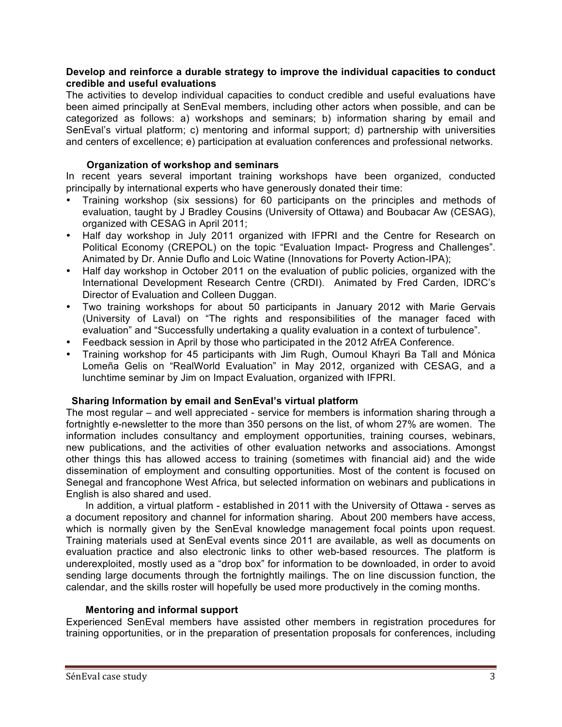### **Develop and reinforce a durable strategy to improve the individual capacities to conduct credible and useful evaluations**

The activities to develop individual capacities to conduct credible and useful evaluations have been aimed principally at SenEval members, including other actors when possible, and can be categorized as follows: a) workshops and seminars; b) information sharing by email and SenEval's virtual platform; c) mentoring and informal support; d) partnership with universities and centers of excellence; e) participation at evaluation conferences and professional networks.

## **Organization of workshop and seminars**

In recent years several important training workshops have been organized, conducted principally by international experts who have generously donated their time:

- Training workshop (six sessions) for 60 participants on the principles and methods of evaluation, taught by J Bradley Cousins (University of Ottawa) and Boubacar Aw (CESAG), organized with CESAG in April 2011;
- Half day workshop in July 2011 organized with IFPRI and the Centre for Research on Political Economy (CREPOL) on the topic "Evaluation Impact- Progress and Challenges". Animated by Dr. Annie Duflo and Loic Watine (Innovations for Poverty Action-IPA);
- Half day workshop in October 2011 on the evaluation of public policies, organized with the International Development Research Centre (CRDI). Animated by Fred Carden, IDRC's Director of Evaluation and Colleen Duggan.
- Two training workshops for about 50 participants in January 2012 with Marie Gervais (University of Laval) on "The rights and responsibilities of the manager faced with evaluation" and "Successfully undertaking a quality evaluation in a context of turbulence".
- Feedback session in April by those who participated in the 2012 AfrEA Conference.
- Training workshop for 45 participants with Jim Rugh, Oumoul Khayri Ba Tall and Mónica Lomeña Gelis on "RealWorld Evaluation" in May 2012, organized with CESAG, and a lunchtime seminar by Jim on Impact Evaluation, organized with IFPRI.

# **Sharing Information by email and SenEval's virtual platform**

The most regular – and well appreciated - service for members is information sharing through a fortnightly e-newsletter to the more than 350 persons on the list, of whom 27% are women. The information includes consultancy and employment opportunities, training courses, webinars, new publications, and the activities of other evaluation networks and associations. Amongst other things this has allowed access to training (sometimes with financial aid) and the wide dissemination of employment and consulting opportunities. Most of the content is focused on Senegal and francophone West Africa, but selected information on webinars and publications in English is also shared and used.

In addition, a virtual platform - established in 2011 with the University of Ottawa - serves as a document repository and channel for information sharing. About 200 members have access, which is normally given by the SenEval knowledge management focal points upon request. Training materials used at SenEval events since 2011 are available, as well as documents on evaluation practice and also electronic links to other web-based resources. The platform is underexploited, mostly used as a "drop box" for information to be downloaded, in order to avoid sending large documents through the fortnightly mailings. The on line discussion function, the calendar, and the skills roster will hopefully be used more productively in the coming months.

## **Mentoring and informal support**

Experienced SenEval members have assisted other members in registration procedures for training opportunities, or in the preparation of presentation proposals for conferences, including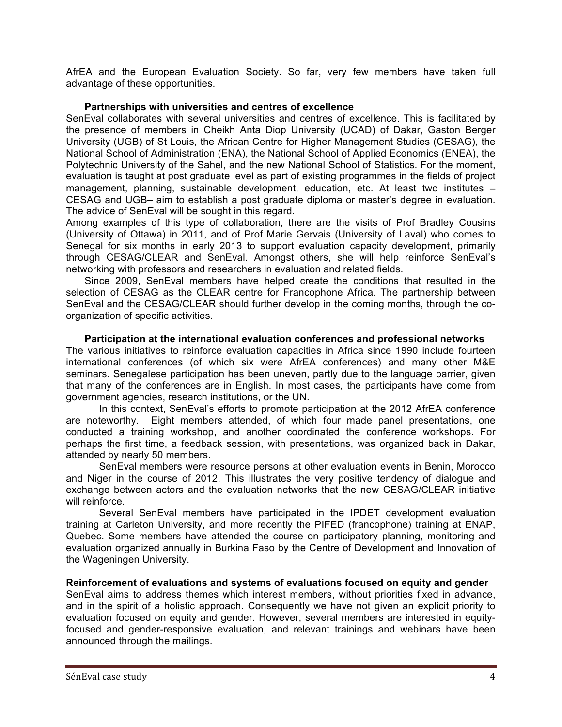AfrEA and the European Evaluation Society. So far, very few members have taken full advantage of these opportunities.

### **Partnerships with universities and centres of excellence**

SenEval collaborates with several universities and centres of excellence. This is facilitated by the presence of members in Cheikh Anta Diop University (UCAD) of Dakar, Gaston Berger University (UGB) of St Louis, the African Centre for Higher Management Studies (CESAG), the National School of Administration (ENA), the National School of Applied Economics (ENEA), the Polytechnic University of the Sahel, and the new National School of Statistics. For the moment, evaluation is taught at post graduate level as part of existing programmes in the fields of project management, planning, sustainable development, education, etc. At least two institutes – CESAG and UGB– aim to establish a post graduate diploma or master's degree in evaluation. The advice of SenEval will be sought in this regard.

Among examples of this type of collaboration, there are the visits of Prof Bradley Cousins (University of Ottawa) in 2011, and of Prof Marie Gervais (University of Laval) who comes to Senegal for six months in early 2013 to support evaluation capacity development, primarily through CESAG/CLEAR and SenEval. Amongst others, she will help reinforce SenEval's networking with professors and researchers in evaluation and related fields.

Since 2009, SenEval members have helped create the conditions that resulted in the selection of CESAG as the CLEAR centre for Francophone Africa. The partnership between SenEval and the CESAG/CLEAR should further develop in the coming months, through the coorganization of specific activities.

### **Participation at the international evaluation conferences and professional networks** The various initiatives to reinforce evaluation capacities in Africa since 1990 include fourteen international conferences (of which six were AfrEA conferences) and many other M&E seminars. Senegalese participation has been uneven, partly due to the language barrier, given that many of the conferences are in English. In most cases, the participants have come from government agencies, research institutions, or the UN.

In this context, SenEval's efforts to promote participation at the 2012 AfrEA conference are noteworthy. Eight members attended, of which four made panel presentations, one conducted a training workshop, and another coordinated the conference workshops. For perhaps the first time, a feedback session, with presentations, was organized back in Dakar, attended by nearly 50 members.

SenEval members were resource persons at other evaluation events in Benin, Morocco and Niger in the course of 2012. This illustrates the very positive tendency of dialogue and exchange between actors and the evaluation networks that the new CESAG/CLEAR initiative will reinforce.

Several SenEval members have participated in the IPDET development evaluation training at Carleton University, and more recently the PIFED (francophone) training at ENAP, Quebec. Some members have attended the course on participatory planning, monitoring and evaluation organized annually in Burkina Faso by the Centre of Development and Innovation of the Wageningen University.

## **Reinforcement of evaluations and systems of evaluations focused on equity and gender**

SenEval aims to address themes which interest members, without priorities fixed in advance, and in the spirit of a holistic approach. Consequently we have not given an explicit priority to evaluation focused on equity and gender. However, several members are interested in equityfocused and gender-responsive evaluation, and relevant trainings and webinars have been announced through the mailings.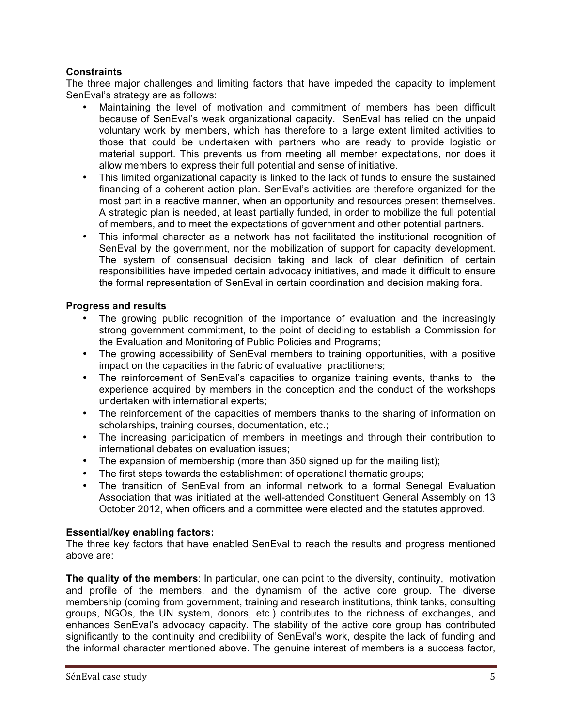# **Constraints**

The three major challenges and limiting factors that have impeded the capacity to implement SenEval's strategy are as follows:

- Maintaining the level of motivation and commitment of members has been difficult because of SenEval's weak organizational capacity. SenEval has relied on the unpaid voluntary work by members, which has therefore to a large extent limited activities to those that could be undertaken with partners who are ready to provide logistic or material support. This prevents us from meeting all member expectations, nor does it allow members to express their full potential and sense of initiative.
- This limited organizational capacity is linked to the lack of funds to ensure the sustained financing of a coherent action plan. SenEval's activities are therefore organized for the most part in a reactive manner, when an opportunity and resources present themselves. A strategic plan is needed, at least partially funded, in order to mobilize the full potential of members, and to meet the expectations of government and other potential partners.
- This informal character as a network has not facilitated the institutional recognition of SenEval by the government, nor the mobilization of support for capacity development. The system of consensual decision taking and lack of clear definition of certain responsibilities have impeded certain advocacy initiatives, and made it difficult to ensure the formal representation of SenEval in certain coordination and decision making fora.

# **Progress and results**

- The growing public recognition of the importance of evaluation and the increasingly strong government commitment, to the point of deciding to establish a Commission for the Evaluation and Monitoring of Public Policies and Programs;
- The growing accessibility of SenEval members to training opportunities, with a positive impact on the capacities in the fabric of evaluative practitioners;
- The reinforcement of SenEval's capacities to organize training events, thanks to the experience acquired by members in the conception and the conduct of the workshops undertaken with international experts;
- The reinforcement of the capacities of members thanks to the sharing of information on scholarships, training courses, documentation, etc.;
- The increasing participation of members in meetings and through their contribution to international debates on evaluation issues;
- The expansion of membership (more than 350 signed up for the mailing list);
- The first steps towards the establishment of operational thematic groups;
- The transition of SenEval from an informal network to a formal Senegal Evaluation Association that was initiated at the well-attended Constituent General Assembly on 13 October 2012, when officers and a committee were elected and the statutes approved.

## **Essential/key enabling factors:**

The three key factors that have enabled SenEval to reach the results and progress mentioned above are:

**The quality of the members**: In particular, one can point to the diversity, continuity, motivation and profile of the members, and the dynamism of the active core group. The diverse membership (coming from government, training and research institutions, think tanks, consulting groups, NGOs, the UN system, donors, etc.) contributes to the richness of exchanges, and enhances SenEval's advocacy capacity. The stability of the active core group has contributed significantly to the continuity and credibility of SenEval's work, despite the lack of funding and the informal character mentioned above. The genuine interest of members is a success factor,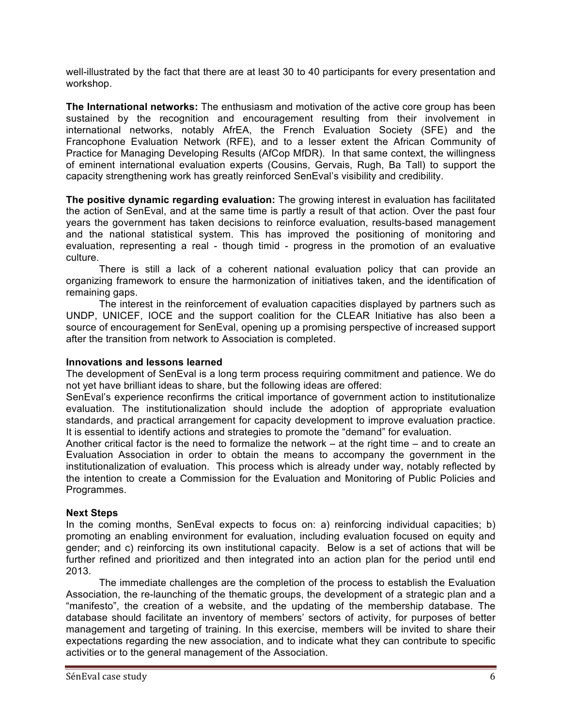well-illustrated by the fact that there are at least 30 to 40 participants for every presentation and workshop.

**The International networks:** The enthusiasm and motivation of the active core group has been sustained by the recognition and encouragement resulting from their involvement in international networks, notably AfrEA, the French Evaluation Society (SFE) and the Francophone Evaluation Network (RFE), and to a lesser extent the African Community of Practice for Managing Developing Results (AfCop MfDR). In that same context, the willingness of eminent international evaluation experts (Cousins, Gervais, Rugh, Ba Tall) to support the capacity strengthening work has greatly reinforced SenEval's visibility and credibility.

**The positive dynamic regarding evaluation:** The growing interest in evaluation has facilitated the action of SenEval, and at the same time is partly a result of that action. Over the past four years the government has taken decisions to reinforce evaluation, results-based management and the national statistical system. This has improved the positioning of monitoring and evaluation, representing a real - though timid - progress in the promotion of an evaluative culture.

There is still a lack of a coherent national evaluation policy that can provide an organizing framework to ensure the harmonization of initiatives taken, and the identification of remaining gaps.

The interest in the reinforcement of evaluation capacities displayed by partners such as UNDP, UNICEF, IOCE and the support coalition for the CLEAR Initiative has also been a source of encouragement for SenEval, opening up a promising perspective of increased support after the transition from network to Association is completed.

## **Innovations and lessons learned**

The development of SenEval is a long term process requiring commitment and patience. We do not yet have brilliant ideas to share, but the following ideas are offered:

SenEval's experience reconfirms the critical importance of government action to institutionalize evaluation. The institutionalization should include the adoption of appropriate evaluation standards, and practical arrangement for capacity development to improve evaluation practice. It is essential to identify actions and strategies to promote the "demand" for evaluation.

Another critical factor is the need to formalize the network – at the right time – and to create an Evaluation Association in order to obtain the means to accompany the government in the institutionalization of evaluation. This process which is already under way, notably reflected by the intention to create a Commission for the Evaluation and Monitoring of Public Policies and Programmes.

## **Next Steps**

In the coming months, SenEval expects to focus on: a) reinforcing individual capacities; b) promoting an enabling environment for evaluation, including evaluation focused on equity and gender; and c) reinforcing its own institutional capacity. Below is a set of actions that will be further refined and prioritized and then integrated into an action plan for the period until end 2013.

The immediate challenges are the completion of the process to establish the Evaluation Association, the re-launching of the thematic groups, the development of a strategic plan and a "manifesto", the creation of a website, and the updating of the membership database. The database should facilitate an inventory of members' sectors of activity, for purposes of better management and targeting of training. In this exercise, members will be invited to share their expectations regarding the new association, and to indicate what they can contribute to specific activities or to the general management of the Association.